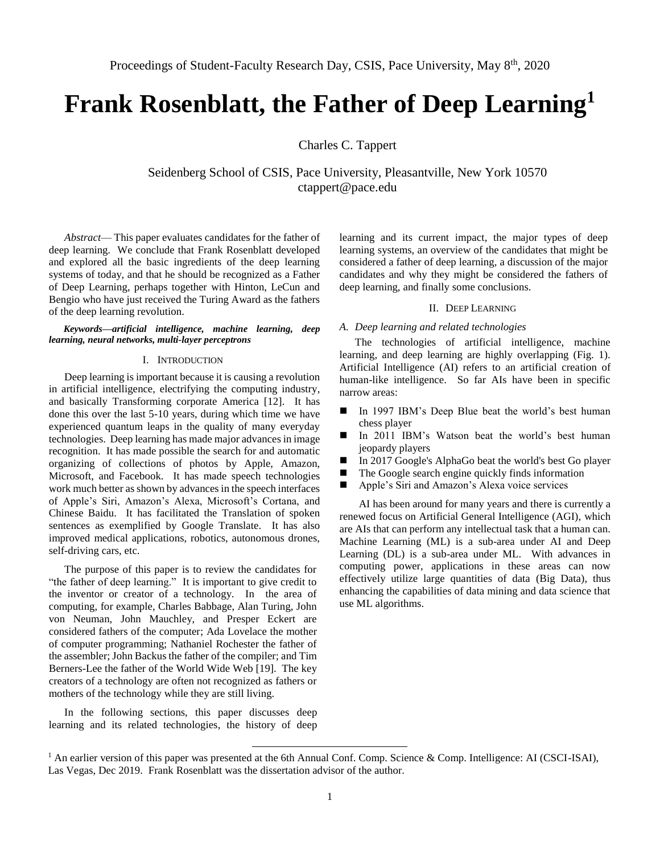# **Frank Rosenblatt, the Father of Deep Learning<sup>1</sup>**

Charles C. Tappert

Seidenberg School of CSIS, Pace University, Pleasantville, New York 10570 ctappert@pace.edu

*Abstract*— This paper evaluates candidates for the father of deep learning. We conclude that Frank Rosenblatt developed and explored all the basic ingredients of the deep learning systems of today, and that he should be recognized as a Father of Deep Learning, perhaps together with Hinton, LeCun and Bengio who have just received the Turing Award as the fathers of the deep learning revolution.

# *Keywords—artificial intelligence, machine learning, deep learning, neural networks, multi-layer perceptrons*

## I. INTRODUCTION

Deep learning is important because it is causing a revolution in artificial intelligence, electrifying the computing industry, and basically Transforming corporate America [12]. It has done this over the last 5-10 years, during which time we have experienced quantum leaps in the quality of many everyday technologies. Deep learning has made major advances in image recognition. It has made possible the search for and automatic organizing of collections of photos by Apple, Amazon, Microsoft, and Facebook. It has made speech technologies work much better as shown by advances in the speech interfaces of Apple's Siri, Amazon's Alexa, Microsoft's Cortana, and Chinese Baidu. It has facilitated the Translation of spoken sentences as exemplified by Google Translate. It has also improved medical applications, robotics, autonomous drones, self-driving cars, etc.

The purpose of this paper is to review the candidates for "the father of deep learning." It is important to give credit to the inventor or creator of a technology. In the area of computing, for example, Charles Babbage, Alan Turing, John von Neuman, John Mauchley, and Presper Eckert are considered fathers of the computer; Ada Lovelace the mother of computer programming; Nathaniel Rochester the father of the assembler; John Backus the father of the compiler; and Tim Berners-Lee the father of the World Wide Web [19]. The key creators of a technology are often not recognized as fathers or mothers of the technology while they are still living.

In the following sections, this paper discusses deep learning and its related technologies, the history of deep

learning and its current impact, the major types of deep learning systems, an overview of the candidates that might be considered a father of deep learning, a discussion of the major candidates and why they might be considered the fathers of deep learning, and finally some conclusions.

# II. DEEP LEARNING

# *A. Deep learning and related technologies*

The technologies of artificial intelligence, machine learning, and deep learning are highly overlapping (Fig. 1). Artificial Intelligence (AI) refers to an artificial creation of human-like intelligence. So far AIs have been in specific narrow areas:

- In 1997 IBM's Deep Blue beat the world's best human chess player
- In 2011 IBM's Watson beat the world's best human jeopardy players
- In 2017 Google's AlphaGo beat the world's best Go player
- The Google search engine quickly finds information
- Apple's Siri and Amazon's Alexa voice services

AI has been around for many years and there is currently a renewed focus on Artificial General Intelligence (AGI), which are AIs that can perform any intellectual task that a human can. Machine Learning (ML) is a sub-area under AI and Deep Learning (DL) is a sub-area under ML. With advances in computing power, applications in these areas can now effectively utilize large quantities of data (Big Data), thus enhancing the capabilities of data mining and data science that use ML algorithms.

 $\overline{a}$ 

 $<sup>1</sup>$  An earlier version of this paper was presented at the 6th Annual Conf. Comp. Science & Comp. Intelligence: AI (CSCI-ISAI),</sup> Las Vegas, Dec 2019. Frank Rosenblatt was the dissertation advisor of the author.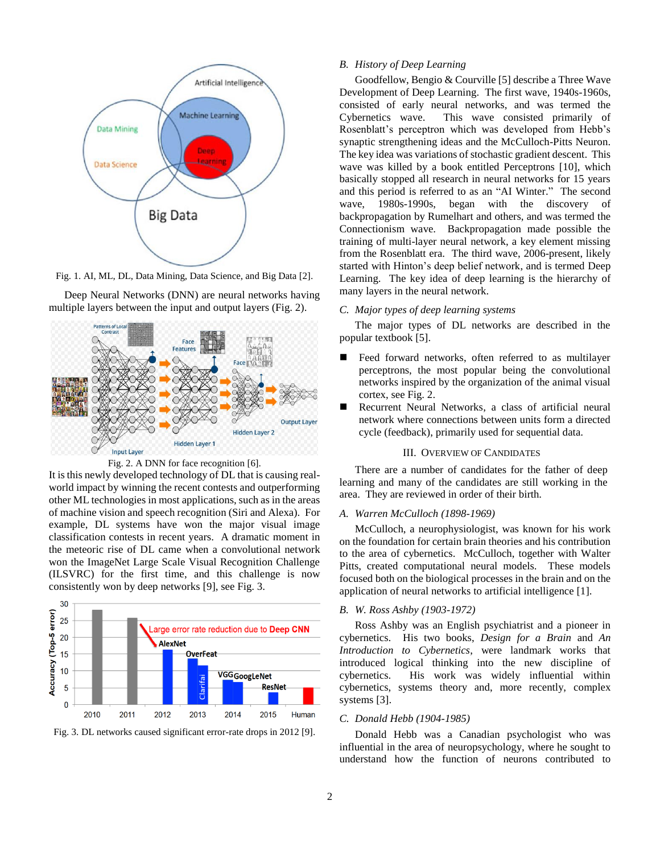

Fig. 1. AI, ML, DL, Data Mining, Data Science, and Big Data [2].

Deep Neural Networks (DNN) are neural networks having multiple layers between the input and output layers (Fig. 2).





It is this newly developed technology of DL that is causing realworld impact by winning the recent contests and outperforming other ML technologies in most applications, such as in the areas of machine vision and speech recognition (Siri and Alexa). For example, DL systems have won the major visual image classification contests in recent years. A dramatic moment in the meteoric rise of DL came when a convolutional network won the ImageNet Large Scale Visual Recognition Challenge (ILSVRC) for the first time, and this challenge is now consistently won by deep networks [9], see Fig. 3.



Fig. 3. DL networks caused significant error-rate drops in 2012 [9].

# *B. History of Deep Learning*

Goodfellow, Bengio & Courville [5] describe a Three Wave Development of Deep Learning. The first wave, 1940s-1960s, consisted of early neural networks, and was termed the Cybernetics wave. This wave consisted primarily of Rosenblatt's perceptron which was developed from Hebb's synaptic strengthening ideas and the McCulloch-Pitts Neuron. The key idea was variations of stochastic gradient descent. This wave was killed by a book entitled Perceptrons [10], which basically stopped all research in neural networks for 15 years and this period is referred to as an "AI Winter." The second wave, 1980s-1990s, began with the discovery of backpropagation by Rumelhart and others, and was termed the Connectionism wave. Backpropagation made possible the training of multi-layer neural network, a key element missing from the Rosenblatt era. The third wave, 2006-present, likely started with Hinton's deep belief network, and is termed Deep Learning. The key idea of deep learning is the hierarchy of many layers in the neural network.

## *C. Major types of deep learning systems*

The major types of DL networks are described in the popular textbook [5].

- Feed forward networks, often referred to as multilayer perceptrons, the most popular being the convolutional networks inspired by the organization of the animal visual cortex, see Fig. 2.
- Recurrent Neural Networks, a class of artificial neural network where connections between units form a directed cycle (feedback), primarily used for sequential data.

# III. OVERVIEW OF CANDIDATES

There are a number of candidates for the father of deep learning and many of the candidates are still working in the area. They are reviewed in order of their birth.

#### *A. Warren McCulloch (1898-1969)*

McCulloch, a neurophysiologist, was known for his work on the foundation for certain brain theories and his contribution to the area of cybernetics. McCulloch, together with Walter Pitts, created computational neural models. These models focused both on the biological processes in the brain and on the application of neural networks to artificial intelligence [1].

# *B. W. Ross Ashby (1903-1972)*

Ross Ashby was an English psychiatrist and a pioneer in cybernetics. His two books, *Design for a Brain* and *An Introduction to Cybernetics*, were landmark works that introduced logical thinking into the new discipline of cybernetics. His work was widely influential within cybernetics, systems theory and, more recently, complex systems [3].

## *C. Donald Hebb (1904-1985)*

Donald Hebb was a Canadian psychologist who was influential in the area of neuropsychology, where he sought to understand how the function of neurons contributed to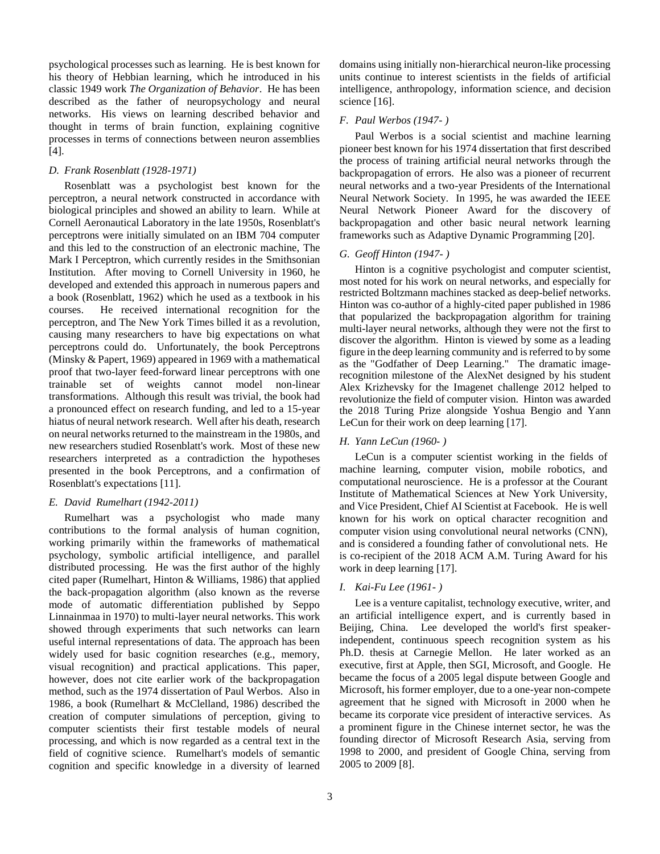psychological processes such as learning. He is best known for his theory of Hebbian learning, which he introduced in his classic 1949 work *The Organization of Behavior*. He has been described as the father of neuropsychology and neural networks. His views on learning described behavior and thought in terms of brain function, explaining cognitive processes in terms of connections between neuron assemblies [4].

## *D. Frank Rosenblatt (1928-1971)*

Rosenblatt was a psychologist best known for the perceptron, a neural network constructed in accordance with biological principles and showed an ability to learn. While at Cornell Aeronautical Laboratory in the late 1950s, Rosenblatt's perceptrons were initially simulated on an IBM 704 computer and this led to the construction of an electronic machine, The Mark I Perceptron, which currently resides in the Smithsonian Institution. After moving to Cornell University in 1960, he developed and extended this approach in numerous papers and a book (Rosenblatt, 1962) which he used as a textbook in his courses. He received international recognition for the perceptron, and The New York Times billed it as a revolution, causing many researchers to have big expectations on what perceptrons could do. Unfortunately, the book Perceptrons (Minsky & Papert, 1969) appeared in 1969 with a mathematical proof that two-layer feed-forward linear perceptrons with one trainable set of weights cannot model non-linear transformations. Although this result was trivial, the book had a pronounced effect on research funding, and led to a 15-year hiatus of neural network research. Well after his death, research on neural networks returned to the mainstream in the 1980s, and new researchers studied Rosenblatt's work. Most of these new researchers interpreted as a contradiction the hypotheses presented in the book Perceptrons, and a confirmation of Rosenblatt's expectations [11].

#### *E. David Rumelhart (1942-2011)*

Rumelhart was a psychologist who made many contributions to the formal analysis of human cognition, working primarily within the frameworks of mathematical psychology, symbolic artificial intelligence, and parallel distributed processing. He was the first author of the highly cited paper (Rumelhart, Hinton & Williams, 1986) that applied the back-propagation algorithm (also known as the reverse mode of automatic differentiation published by Seppo Linnainmaa in 1970) to multi-layer neural networks. This work showed through experiments that such networks can learn useful internal representations of data. The approach has been widely used for basic cognition researches (e.g., memory, visual recognition) and practical applications. This paper, however, does not cite earlier work of the backpropagation method, such as the 1974 dissertation of Paul Werbos. Also in 1986, a book (Rumelhart & McClelland, 1986) described the creation of computer simulations of perception, giving to computer scientists their first testable models of neural processing, and which is now regarded as a central text in the field of cognitive science. Rumelhart's models of semantic cognition and specific knowledge in a diversity of learned domains using initially non-hierarchical neuron-like processing units continue to interest scientists in the fields of artificial intelligence, anthropology, information science, and decision science [16].

#### *F. Paul Werbos (1947- )*

Paul Werbos is a social scientist and machine learning pioneer best known for his 1974 dissertation that first described the process of training artificial neural networks through the backpropagation of errors. He also was a pioneer of recurrent neural networks and a two-year Presidents of the International Neural Network Society. In 1995, he was awarded the IEEE Neural Network Pioneer Award for the discovery of backpropagation and other basic neural network learning frameworks such as Adaptive Dynamic Programming [20].

# *G. Geoff Hinton (1947- )*

Hinton is a cognitive psychologist and computer scientist, most noted for his work on neural networks, and especially for restricted Boltzmann machines stacked as deep-belief networks. Hinton was co-author of a highly-cited paper published in 1986 that popularized the backpropagation algorithm for training multi-layer neural networks, although they were not the first to discover the algorithm. Hinton is viewed by some as a leading figure in the deep learning community and is referred to by some as the "Godfather of Deep Learning." The dramatic imagerecognition milestone of the AlexNet designed by his student Alex Krizhevsky for the Imagenet challenge 2012 helped to revolutionize the field of computer vision. Hinton was awarded the 2018 Turing Prize alongside Yoshua Bengio and Yann LeCun for their work on deep learning [17].

## *H. Yann LeCun (1960- )*

LeCun is a computer scientist working in the fields of machine learning, computer vision, mobile robotics, and computational neuroscience. He is a professor at the Courant Institute of Mathematical Sciences at New York University, and Vice President, Chief AI Scientist at Facebook. He is well known for his work on optical character recognition and computer vision using convolutional neural networks (CNN), and is considered a founding father of convolutional nets. He is co-recipient of the 2018 ACM A.M. Turing Award for his work in deep learning [17].

#### *I. Kai-Fu Lee (1961- )*

Lee is a venture capitalist, technology executive, writer, and an artificial intelligence expert, and is currently based in Beijing, China. Lee developed the world's first speakerindependent, continuous speech recognition system as his Ph.D. thesis at Carnegie Mellon. He later worked as an executive, first at Apple, then SGI, Microsoft, and Google. He became the focus of a 2005 legal dispute between Google and Microsoft, his former employer, due to a one-year non-compete agreement that he signed with Microsoft in 2000 when he became its corporate vice president of interactive services. As a prominent figure in the Chinese internet sector, he was the founding director of Microsoft Research Asia, serving from 1998 to 2000, and president of Google China, serving from 2005 to 2009 [8].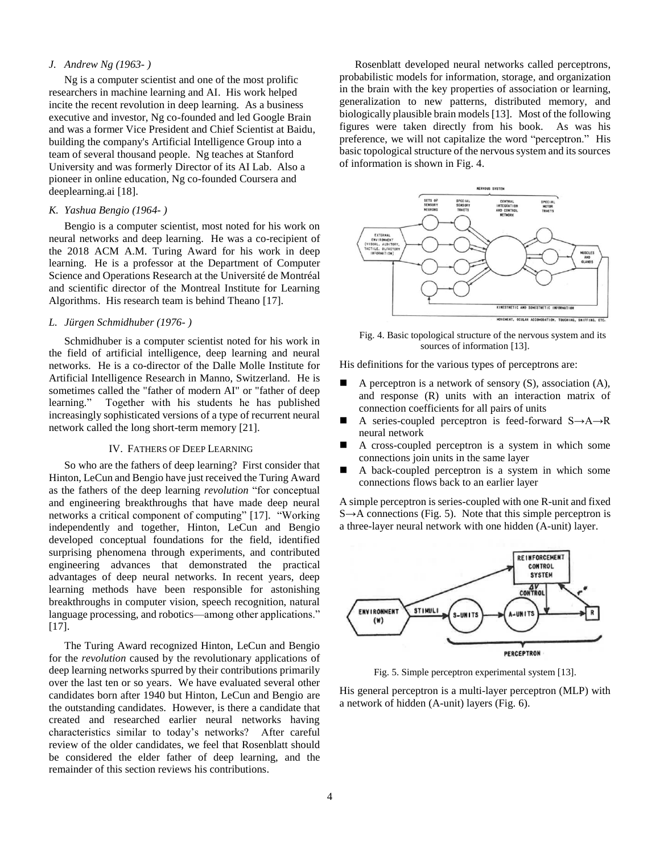## *J. Andrew Ng (1963- )*

Ng is a computer scientist and one of the most prolific researchers in machine learning and AI. His work helped incite the recent revolution in deep learning. As a business executive and investor, Ng co-founded and led Google Brain and was a former Vice President and Chief Scientist at Baidu, building the company's Artificial Intelligence Group into a team of several thousand people. Ng teaches at Stanford University and was formerly Director of its AI Lab. Also a pioneer in online education, Ng co-founded Coursera and deeplearning.ai [18].

# *K. Yashua Bengio (1964- )*

Bengio is a computer scientist, most noted for his work on neural networks and deep learning. He was a co-recipient of the 2018 ACM A.M. Turing Award for his work in deep learning. He is a professor at the Department of Computer Science and Operations Research at the Université de Montréal and scientific director of the Montreal Institute for Learning Algorithms. His research team is behind Theano [17].

## *L. Jürgen Schmidhuber (1976- )*

Schmidhuber is a computer scientist noted for his work in the field of artificial intelligence, deep learning and neural networks. He is a co-director of the Dalle Molle Institute for Artificial Intelligence Research in Manno, Switzerland. He is sometimes called the "father of modern AI" or "father of deep learning." Together with his students he has published increasingly sophisticated versions of a type of recurrent neural network called the long short-term memory [21].

## IV. FATHERS OF DEEP LEARNING

So who are the fathers of deep learning? First consider that Hinton, LeCun and Bengio have just received the Turing Award as the fathers of the deep learning *revolution* "for conceptual and engineering breakthroughs that have made deep neural networks a critical component of computing" [17]. "Working independently and together, Hinton, LeCun and Bengio developed conceptual foundations for the field, identified surprising phenomena through experiments, and contributed engineering advances that demonstrated the practical advantages of deep neural networks. In recent years, deep learning methods have been responsible for astonishing breakthroughs in computer vision, speech recognition, natural language processing, and robotics—among other applications." [17].

The Turing Award recognized Hinton, LeCun and Bengio for the *revolution* caused by the revolutionary applications of deep learning networks spurred by their contributions primarily over the last ten or so years. We have evaluated several other candidates born after 1940 but Hinton, LeCun and Bengio are the outstanding candidates. However, is there a candidate that created and researched earlier neural networks having characteristics similar to today's networks? After careful review of the older candidates, we feel that Rosenblatt should be considered the elder father of deep learning, and the remainder of this section reviews his contributions.

Rosenblatt developed neural networks called perceptrons, probabilistic models for information, storage, and organization in the brain with the key properties of association or learning, generalization to new patterns, distributed memory, and biologically plausible brain models [13]. Most of the following figures were taken directly from his book. As was his preference, we will not capitalize the word "perceptron." His basic topological structure of the nervous system and its sources of information is shown in Fig. 4.



Fig. 4. Basic topological structure of the nervous system and its sources of information [13].

His definitions for the various types of perceptrons are:

- A perceptron is a network of sensory (S), association (A), and response (R) units with an interaction matrix of connection coefficients for all pairs of units
- A series-coupled perceptron is feed-forward S→A→R neural network
- A cross-coupled perceptron is a system in which some connections join units in the same layer
- A back-coupled perceptron is a system in which some connections flows back to an earlier layer

A simple perceptron is series-coupled with one R-unit and fixed  $S \rightarrow A$  connections (Fig. 5). Note that this simple perceptron is a three-layer neural network with one hidden (A-unit) layer.



Fig. 5. Simple perceptron experimental system [13].

His general perceptron is a multi-layer perceptron (MLP) with a network of hidden (A-unit) layers (Fig. 6).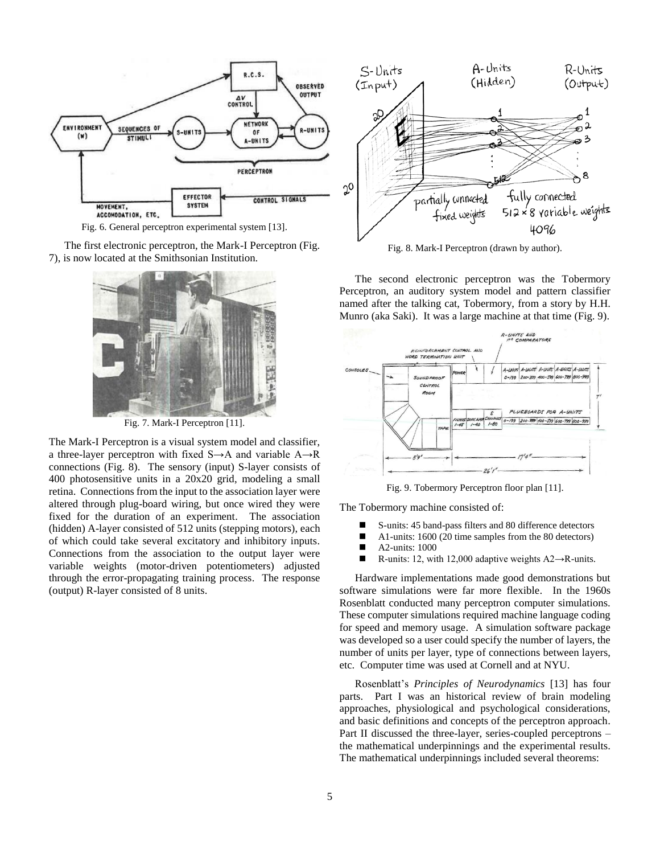

Fig. 6. General perceptron experimental system [13].

The first electronic perceptron, the Mark-I Perceptron (Fig. 7), is now located at the Smithsonian Institution.



Fig. 7. Mark-I Perceptron [11].

The Mark-I Perceptron is a visual system model and classifier, a three-layer perceptron with fixed  $S \rightarrow A$  and variable  $A \rightarrow R$ connections (Fig. 8). The sensory (input) S-layer consists of 400 photosensitive units in a 20x20 grid, modeling a small retina. Connections from the input to the association layer were altered through plug-board wiring, but once wired they were fixed for the duration of an experiment. The association (hidden) A-layer consisted of 512 units (stepping motors), each of which could take several excitatory and inhibitory inputs. Connections from the association to the output layer were variable weights (motor-driven potentiometers) adjusted through the error-propagating training process. The response (output) R-layer consisted of 8 units.



Fig. 8. Mark-I Perceptron (drawn by author).

The second electronic perceptron was the Tobermory Perceptron, an auditory system model and pattern classifier named after the talking cat, Tobermory, from a story by H.H. Munro (aka Saki). It was a large machine at that time (Fig. 9).



Fig. 9. Tobermory Perceptron floor plan [11].

The Tobermory machine consisted of:

- S-units: 45 band-pass filters and 80 difference detectors
- A1-units: 1600 (20 time samples from the 80 detectors)
- $\blacksquare$  A2-units: 1000
- R-units: 12, with 12,000 adaptive weights  $A2 \rightarrow R$ -units.

Hardware implementations made good demonstrations but software simulations were far more flexible. In the 1960s Rosenblatt conducted many perceptron computer simulations. These computer simulations required machine language coding for speed and memory usage. A simulation software package was developed so a user could specify the number of layers, the number of units per layer, type of connections between layers, etc. Computer time was used at Cornell and at NYU.

Rosenblatt's *Principles of Neurodynamics* [13] has four parts. Part I was an historical review of brain modeling approaches, physiological and psychological considerations, and basic definitions and concepts of the perceptron approach. Part II discussed the three-layer, series-coupled perceptrons – the mathematical underpinnings and the experimental results. The mathematical underpinnings included several theorems: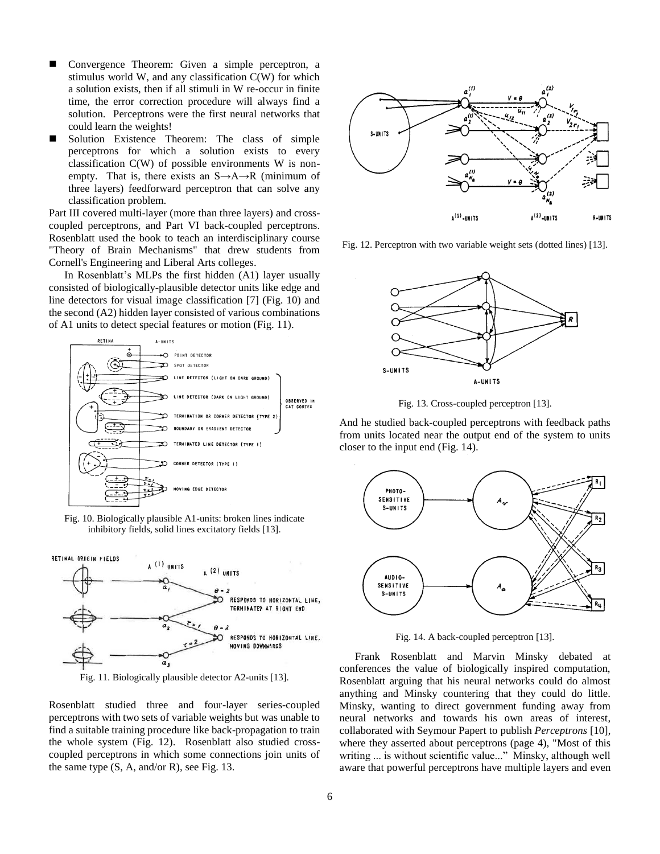- Convergence Theorem: Given a simple perceptron, a stimulus world W, and any classification C(W) for which a solution exists, then if all stimuli in W re-occur in finite time, the error correction procedure will always find a solution. Perceptrons were the first neural networks that could learn the weights!
- Solution Existence Theorem: The class of simple perceptrons for which a solution exists to every classification C(W) of possible environments W is nonempty. That is, there exists an  $S \rightarrow A \rightarrow R$  (minimum of three layers) feedforward perceptron that can solve any classification problem.

Part III covered multi-layer (more than three layers) and crosscoupled perceptrons, and Part VI back-coupled perceptrons. Rosenblatt used the book to teach an interdisciplinary course "Theory of Brain Mechanisms" that drew students from Cornell's Engineering and Liberal Arts colleges.

In Rosenblatt's MLPs the first hidden (A1) layer usually consisted of biologically-plausible detector units like edge and line detectors for visual image classification [7] (Fig. 10) and the second (A2) hidden layer consisted of various combinations of A1 units to detect special features or motion (Fig. 11).



Fig. 10. Biologically plausible A1-units: broken lines indicate inhibitory fields, solid lines excitatory fields [13].



Fig. 11. Biologically plausible detector A2-units [13].

Rosenblatt studied three and four-layer series-coupled perceptrons with two sets of variable weights but was unable to find a suitable training procedure like back-propagation to train the whole system (Fig. 12). Rosenblatt also studied crosscoupled perceptrons in which some connections join units of the same type (S, A, and/or R), see Fig. 13.



Fig. 12. Perceptron with two variable weight sets (dotted lines) [13].



Fig. 13. Cross-coupled perceptron [13].

And he studied back-coupled perceptrons with feedback paths from units located near the output end of the system to units closer to the input end (Fig. 14).



Fig. 14. A back-coupled perceptron [13].

Frank Rosenblatt and Marvin Minsky debated at conferences the value of biologically inspired computation, Rosenblatt arguing that his neural networks could do almost anything and Minsky countering that they could do little. Minsky, wanting to direct government funding away from neural networks and towards his own areas of interest, collaborated with Seymour Papert to publish *Perceptrons* [10], where they asserted about perceptrons (page 4), "Most of this writing ... is without scientific value..." Minsky, although well aware that powerful perceptrons have multiple layers and even